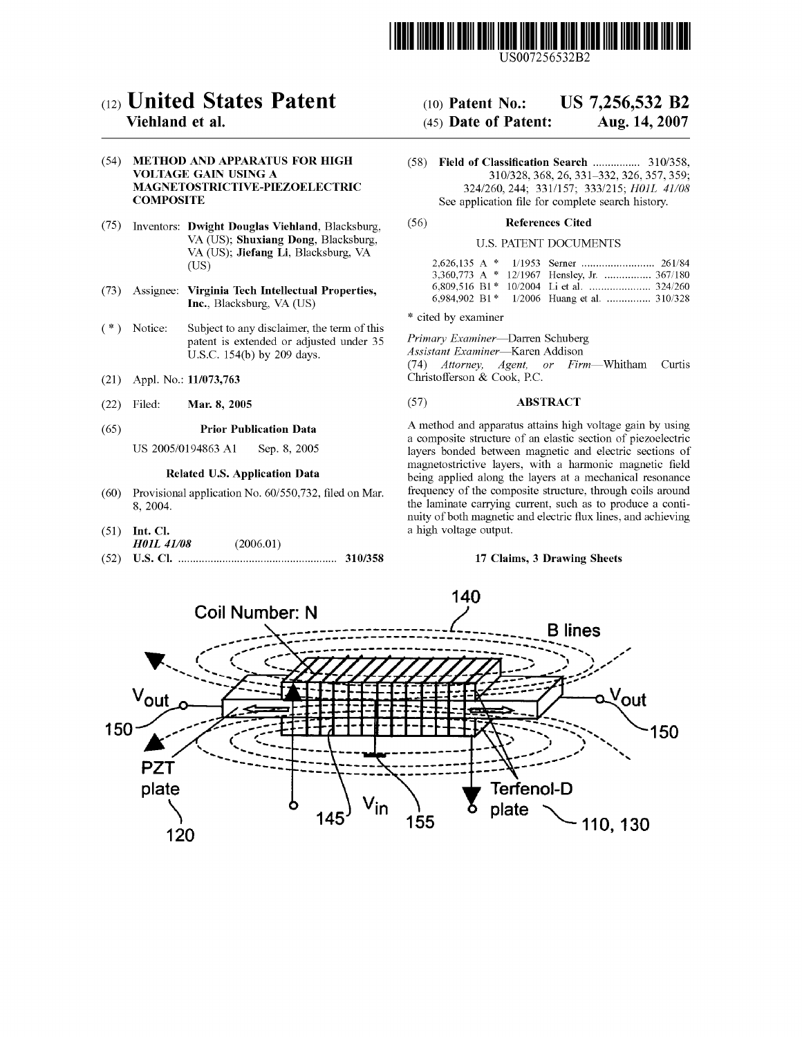

# $(12)$  United States Patent  $(10)$  Patent No.: US 7,256,532 B2

# (54) METHOD AND APPARATUS FOR HIGH (58) Field of Classification Search ................ 310/358,

- (75) Inventors: Dwight Douglas Viehland, Blacksburg, (56) References Cited VA (US); Shuxiang Dong, Blacksburg, U.S. PATENT DOCUMENTS VA (US); Jiefang Li, Blacksburg, VA (US) 2,626,135 A \* 1/1953 Serner ......................... 261/84
- 
- $(*)$  Notice: Subject to any disclaimer, the term of this patent is extended or adjusted under 35 Primary Examiner—Darren Schuberg U.S.C. 154(b) by 209 days. Assistant Examiner—Karen Addison
- 
- 

- 
- (51) Int. Cl. a high voltage output. H01L 41/08 (2006.01)
- (52) US. Cl. ...................................................... 310/358 17 Claims, 3 Drawing Sheets

# Viehland et al.  $(45)$  Date of Patent: Aug. 14, 2007

VOLTAGE GAIN USING A  $310/328, 368, 26, 331-332, 326, 357, 359;$ MAGNETOSTRICTIVE-PIEZOELECTRIC 324/260, 244; 331/157; 333/215; HOIL 41/08 **COMPOSITE** See application file for complete search history.

|  | $V_A$ (OS), <b>Jierang Li</b> , Diacksburg, $V_A$                                          |  |                                               |
|--|--------------------------------------------------------------------------------------------|--|-----------------------------------------------|
|  | (US)                                                                                       |  |                                               |
|  |                                                                                            |  | 3,360,773 A $*$ 12/1967 Hensley, Jr.  367/180 |
|  | (73) Assignee: Virginia Tech Intellectual Properties.<br>$\mathbf{Ine}$ Blackshurg VA (HS) |  |                                               |
|  |                                                                                            |  | 6.984.902 B1* 1/2006 Huang et al.  310/328    |

\* cited by examiner

(74) Attorney, Agent, or Firm-Whitham Curtis (21) Appl. No.: 11/073,763 Christoiferson & Cook, RC.

# (22) Filed: **Mar. 8, 2005** (57) **ABSTRACT**

(65) **Prior Publication Data** A method and apparatus attains high voltage gain by using a composite structure of an elastic section of piezoelectric US 2005/0194863 A1 Sep. 8, 2005 layers bonded between magnetic and electric sections of **Related U.S. Application Data Exercise 2016** magnetostrictive layers, with a harmonic magnetic field **Related U.S. Application Data Expanse** being applied along the layers at a mechanical resonance  $(60)$  Provisional application No.  $60/550$ , 732, filed on Mar. frequency of the composite structure, through coils around 8, 2004. nuity of both magnetic and electric flux lines, and achieving

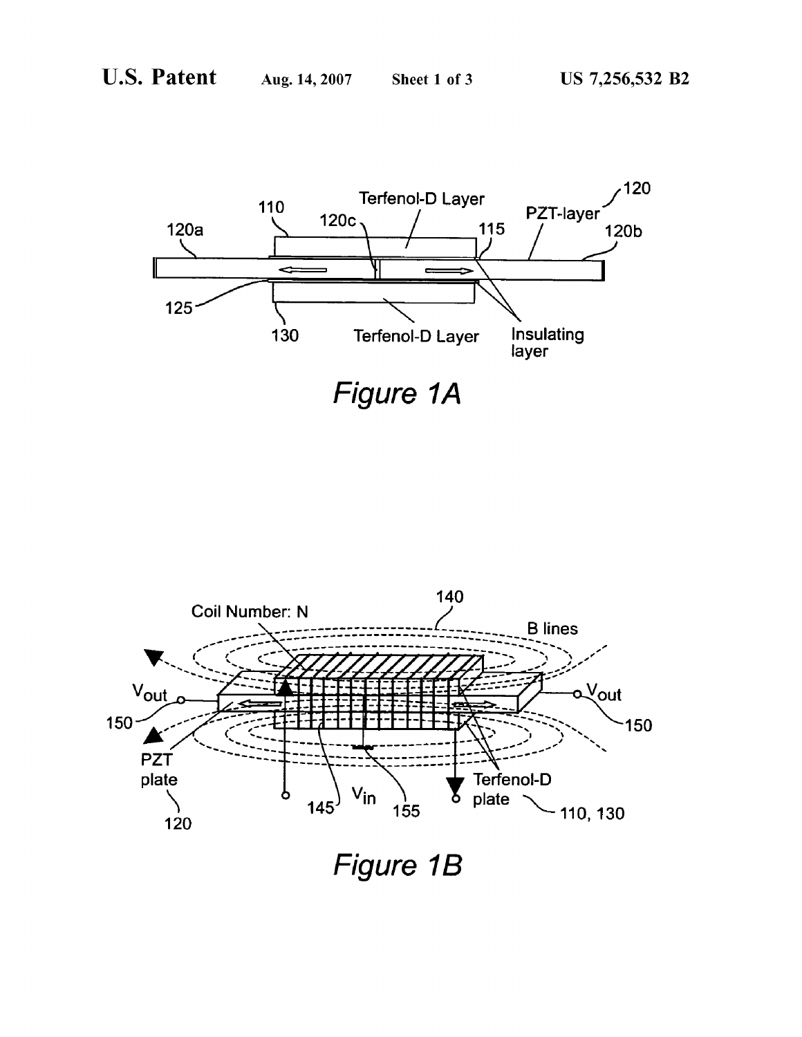

Figure 1A



Figure 1B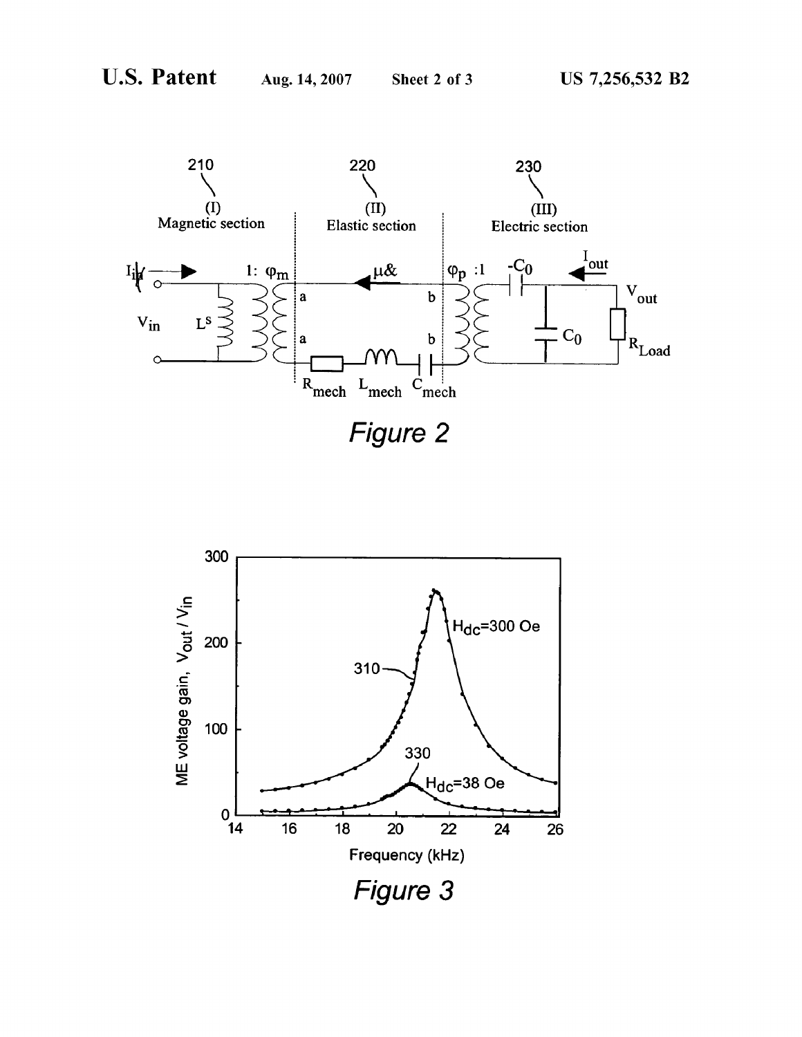

Figure 2

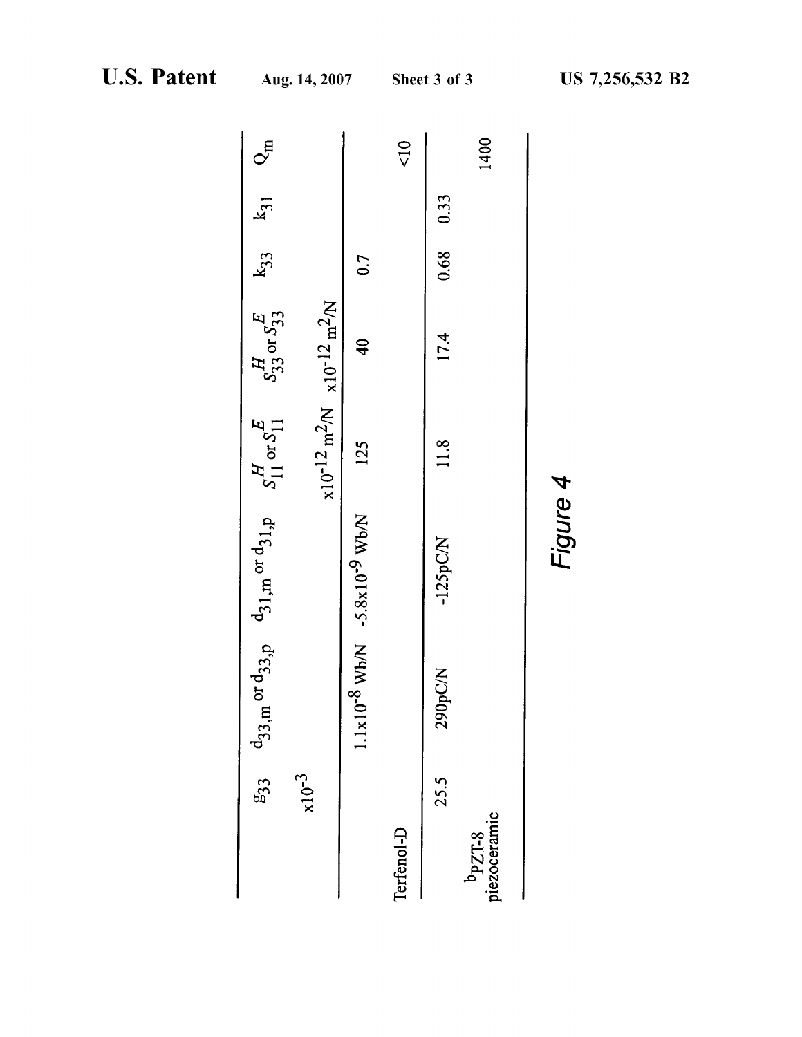|                                    | မာ<br>33   | $d_{33,m}$ or $d_{33,p}$ $d_{31,m}$ or $d_{31,p}$ $S_{11}^H$ or $S_{11}^E$ $S_{33}^H$ or $S_{33}^E$ $K_{33}$ $K_{31}$ $Q_m$ |                                               |                                                             |               |           |                    |
|------------------------------------|------------|-----------------------------------------------------------------------------------------------------------------------------|-----------------------------------------------|-------------------------------------------------------------|---------------|-----------|--------------------|
|                                    | $x10^{-3}$ |                                                                                                                             |                                               | $x10^{-12}$ m <sup>2</sup> /N $x10^{-12}$ m <sup>2</sup> /N |               |           |                    |
|                                    |            |                                                                                                                             | $1.1x10^{-8}$ Wb/N -5.8x10 <sup>-9</sup> Wb/N | 125                                                         | $\frac{1}{4}$ | 0.7       |                    |
| Terfenol-D                         |            |                                                                                                                             |                                               |                                                             |               |           | $rac{1}{\sqrt{2}}$ |
|                                    | 25.5       | 290pC/N                                                                                                                     | $-125pCN$                                     | 11.8                                                        | 17.4          | 0.68 0.33 |                    |
| b <sub>PZT-8</sub><br>piezoceramic |            |                                                                                                                             |                                               |                                                             |               |           | 1400               |
|                                    |            |                                                                                                                             |                                               |                                                             |               |           |                    |

| ᡪ᠇      |
|---------|
| Φ       |
|         |
| Ξ.<br>Ì |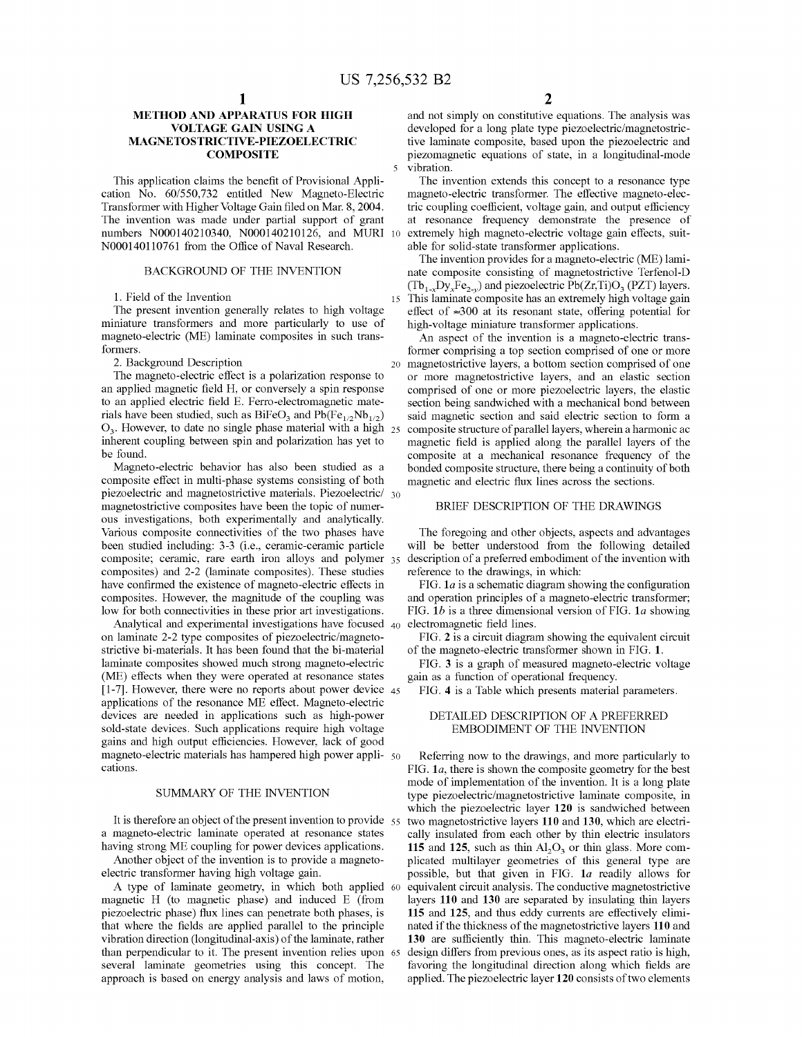15

### METHOD AND APPARATUS FOR HIGH VOLTAGE GAIN USING A MAGNETOSTRICTIVE-PIEZOELECTRIC **COMPOSITE**

This application claims the benefit of Provisional Application No. 60/550,732 entitled New Magneto-Electric Transformer with Higher Voltage Gain filed on Mar. 8, 2004. The invention was made under partial support of grant numbers N000140210340, N000140210126, and MURI 10 N000140110761 from the Office of Naval Research.

### BACKGROUND OF THE INVENTION

### 1. Field of the Invention

The present invention generally relates to high voltage miniature transformers and more particularly to use of magneto-electric (ME) laminate composites in such transformers.

2. Background Description

The magneto-electric effect is a polarization response to an applied magnetic field H, or conversely a spin response to an applied electric field E. Ferro-electromagnetic materials have been studied, such as  $BiFeO<sub>3</sub>$  and  $Pb(Fe<sub>1/2</sub>Nb<sub>1/2</sub>)$  $O_3$ . However, to date no single phase material with a high  $_{25}$ inherent coupling between spin and polarization has yet to be found.

Magneto-electric behavior has also been studied as a composite effect in multi-phase systems consisting of both piezoelectric and magnetostrictive materials. Piezoelectric/ 30 magnetostrictive composites have been the topic of numerous investigations, both experimentally and analytically. Various composite connectivities of the two phases have been studied including: 3-3 (i.e., ceramic-ceramic particle composite; ceramic, rare earth iron alloys and polymer 35 composites) and 2-2 (laminate composites). These studies have confirmed the existence of magneto-electric effects in composites. However, the magnitude of the coupling was low for both connectivities in these prior art investigations.

Analytical and experimental investigations have focused 40 on laminate 2-2 type composites of piezoelectric/magnetostrictive bi-materials. It has been found that the bi-material laminate composites showed much strong magneto-electric (ME) effects when they were operated at resonance states  $\left[1\text{-}7\right]$ . However, there were no reports about power device  $_{45}$ applications of the resonance ME effect. Magneto-electric devices are needed in applications such as high-power sold-state devices. Such applications require high voltage gains and high output efficiencies. However, lack of good magneto-electric materials has hampered high power appli- 50 cations.

# SUMMARY OF THE INVENTION

It is therefore an object of the present invention to provide 55 a magneto-electric laminate operated at resonance states having strong ME coupling for power devices applications.

Another object of the invention is to provide a magnetoelectric transformer having high voltage gain.

A type of laminate geometry, in which both applied 60 magnetic H (to magnetic phase) and induced E (from piezoelectric phase) flux lines can penetrate both phases, is that where the fields are applied parallel to the principle vibration direction (longitudinal-axis) of the laminate, rather than perpendicular to it. The present invention relies upon 65 several laminate geometries using this concept. The approach is based on energy analysis and laws of motion,

and not simply on constitutive equations. The analysis was developed for a long plate type piezoelectric/magnetostrictive laminate composite, based upon the piezoelectric and piezomagnetic equations of state, in a longitudinal-mode vibration.

The invention extends this concept to a resonance type magneto-electric transformer. The effective magneto-electric coupling coefficient, voltage gain, and output efficiency at resonance frequency demonstrate the presence of extremely high magneto-electric voltage gain effects, suitable for solid-state transformer applications.

The invention provides for a magneto-electric (ME) laminate composite consisting of magnetostrictive Terfenol-D  $(Tb_{1-x}Dy_xFe_{2-y})$  and piezoelectric Pb(Zr,Ti)O<sub>3</sub> (PZT) layers. This laminate composite has an extremely high voltage gain effect of  $\approx 300$  at its resonant state, offering potential for high-voltage miniature transformer applications.

20 magnetostrictive layers, a bottom section comprised of one An aspect of the invention is <sup>a</sup> magneto-electric transformer comprising a top section comprised of one or more or more magnetostrictive layers, and an elastic section comprised of one or more piezoelectric layers, the elastic section being sandwiched with a mechanical bond between said magnetic section and said electric section to form a composite structure of parallel layers, wherein a harmonic ac magnetic field is applied along the parallel layers of the composite at a mechanical resonance frequency of the bonded composite structure, there being a continuity of both magnetic and electric flux lines across the sections.

# BRIEF DESCRIPTION OF THE DRAWINGS

The foregoing and other objects, aspects and advantages will be better understood from the following detailed description of a preferred embodiment of the invention with reference to the drawings, in which:

FIG.  $1a$  is a schematic diagram showing the configuration and operation principles of a magneto-electric transformer; FIG. 1b is a three dimensional version of FIG. 1a showing electromagnetic field lines.

FIG. 2 is a circuit diagram showing the equivalent circuit of the magneto-electric transformer shown in FIG. 1.

FIG. 3 is a graph of measured magneto-electric voltage gain as a function of operational frequency.

FIG. 4 is a Table which presents material parameters.

## DETAILED DESCRIPTION OF A PREFERRED EMBODIMENT OF THE INVENTION

Referring now to the drawings, and more particularly to FIG.  $1a$ , there is shown the composite geometry for the best mode of implementation of the invention. It is a long plate type piezoelectric/magnetostrictive laminate composite, in which the piezoelectric layer 120 is sandwiched between two magnetostrictive layers 110 and 130, which are electrically insulated from each other by thin electric insulators 115 and 125, such as thin  $Al_2O_3$  or thin glass. More complicated multilayer geometries of this general type are possible, but that given in FIG. 1a readily allows for equivalent circuit analysis. The conductive magnetostrictive layers 110 and 130 are separated by insulating thin layers 115 and 125, and thus eddy currents are effectively eliminated if the thickness of the magnetostrictive layers 110 and 130 are sufficiently thin. This magneto-electric laminate design differs from previous ones, as its aspect ratio is high, favoring the longitudinal direction along which fields are applied. The piezoelectric layer 120 consists of two elements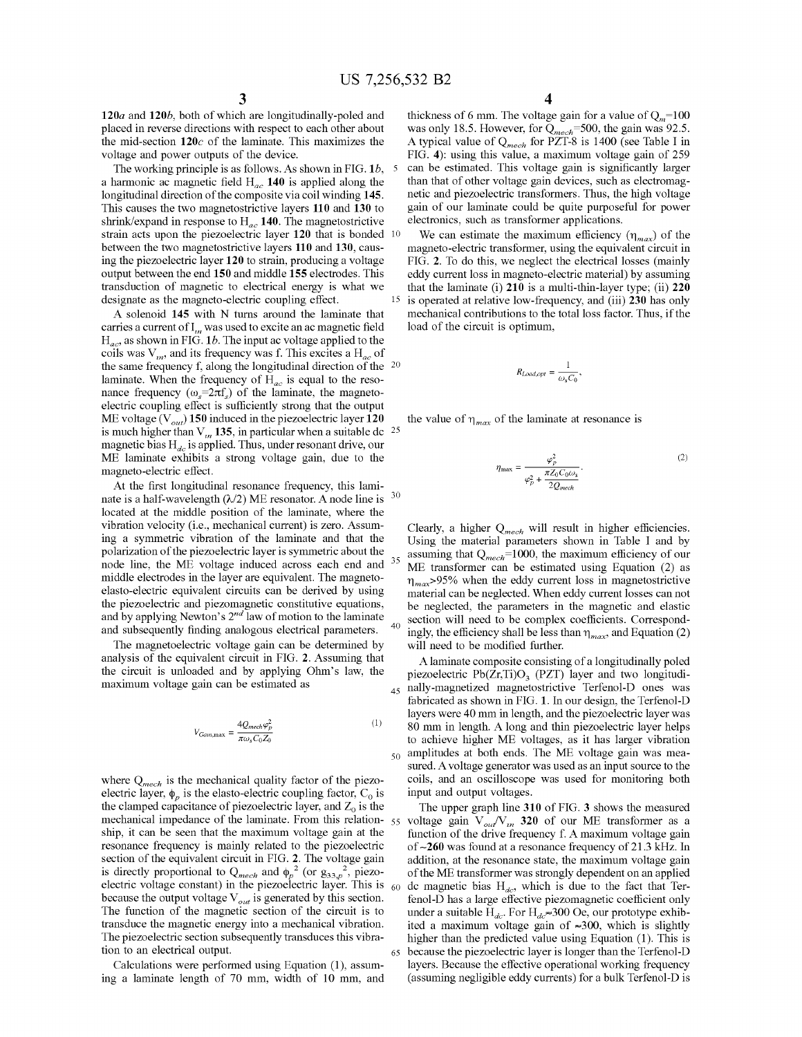10

15

35

50

65

 $120a$  and  $120b$ , both of which are longitudinally-poled and placed in reverse directions with respect to each other about the mid-section  $120c$  of the laminate. This maximizes the voltage and power outputs of the device.

The working principle is as follows. As shown in FIG.  $1b$ , 5 a harmonic ac magnetic field  $H_{ac}$  140 is applied along the longitudinal direction of the composite via coil winding 145. This causes the two magnetostrictive layers 110 and 130 to shrink/expand in response to  $H_{ac}$  140. The magnetostrictive strain acts upon the piezoelectric layer 120 that is bonded between the two magnetostrictive layers 110 and 130, causing the piezoelectric layer 120 to strain, producing a voltage output between the end 150 and middle 155 electrodes. This transduction of magnetic to electrical energy is what we designate as the magneto-electric coupling effect.

A solenoid <sup>145</sup> with N turns around the laminate that carries a current of  $I_m$  was used to excite an ac magnetic field  $H_{ac}$ , as shown in FIG. 1b. The input ac voltage applied to the coils was  $V_m$ , and its frequency was f. This excites a  $H_{ac}$  of the same frequency f, along the longitudinal direction of the  $20$ laminate. When the frequency of  $H_{ac}$  is equal to the resonance frequency ( $\omega_s$ =2 $\pi f_s$ ) of the laminate, the magnetoelectric coupling effect is sufficiently strong that the output ME voltage ( $V_{out}$ ) 150 induced in the piezoelectric layer 120 is much higher than V<sub>m</sub> 135, in particular when a suitable dc  $^{25}$ magnetic bias  $H_{dc}$  is applied. Thus, under resonant drive, our ME laminate exhibits <sup>a</sup> strong voltage gain, due to the magneto-electric effect.

At the first longitudinal resonance frequency, this laminate is a half-wavelength  $(\lambda/2)$  ME resonator. A node line is located at the middle position of the laminate, where the vibration velocity (i.e., mechanical current) is zero. Assuming a symmetric vibration of the laminate and that the polarization ofthe piezoelectric layer is symmetric about the node line, the ME voltage induced across each end and middle electrodes in the layer are equivalent. The magnetoelasto-electric equivalent circuits can be derived by using the piezoelectric and piezomagnetic constitutive equations, and by applying Newton's  $2^{nd}$  law of motion to the laminate and subsequently finding analogous electrical parameters. 30 40

The magnetoelectric voltage gain can be determined by analysis of the equivalent circuit in FIG. 2. Assuming that the circuit is unloaded and by applying Ohm's law, the<br>
maximum voltage gain can be estimated as<br>  $V_c = -\frac{4Q_{mech}\varphi_p^2}{r^2}$  (1) maximum voltage gain can be estimated as

$$
V_{Gann,\text{max}} = \frac{4Q_{mech}\varphi_p^2}{\pi\omega_s C_0 Z_0} \tag{1}
$$

where  $Q_{mech}$  is the mechanical quality factor of the piezoelectric layer,  $\phi_p$  is the elasto-electric coupling factor, C<sub>0</sub> is the clamped capacitance of piezoelectric layer, and  $Z_0$  is the mechanical impedance of the laminate. From this relation- 55 ship, it can be seen that the maximum voltage gain at the resonance frequency is mainly related to the piezoelectric section of the equivalent circuit in FIG. 2. The voltage gain is directly proportional to  $Q_{m,n}$  and  $\phi_n^2$  (or  $g_{33}^2$ , piezoelectric voltage constant) in the piezoelectric layer. This is  $_{60}$ because the output voltage  $V_{out}$  is generated by this section. The function of the magnetic section of the circuit is to transduce the magnetic energy into a mechanical vibration. The piezoelectric section subsequently transduces this vibration to an electrical output.

Calculations were performed using Equation (1), assuming <sup>a</sup> laminate length of 70 mm, width of 10 mm, and 4

thickness of 6 mm. The voltage gain for a value of  $Q_m$ =100 was only 18.5. However, for  $Q_{mech}$ =500, the gain was 92.5. A typical value of  $Q_{mech}$  for PZT-8 is 1400 (see Table I in FIG. 4): using this value, <sup>a</sup> maximum voltage gain of 259 can be estimated. This voltage gain is significantly larger than that of other voltage gain devices, such as electromagnetic and piezoelectric transformers. Thus, the high voltage gain of our laminate could be quite purposeful for power electronics, such as transformer applications.

We can estimate the maximum efficiency  $(\eta_{max})$  of the magneto-electric transformer, using the equivalent circuit in FIG. 2. To do this, we neglect the electrical losses (mainly eddy current loss in magneto-electric material) by assuming that the laminate (i)  $210$  is a multi-thin-layer type; (ii)  $220$ is operated at relative low-frequency, and (iii) 230 has only mechanical contributions to the total loss factor. Thus, if the load of the circuit is optimum,

$$
R_{Load,opt} = \frac{1}{\omega_s C_0},
$$

the value of 
$$
\eta_{max}
$$
 of the laminate at resonance is  
\n
$$
\eta_{max} = \frac{\varphi_p^2}{\varphi_p^2 + \frac{\pi Z_0 C_0 \omega_s}{2 Q_{mech}}}.
$$
\n(2)

Clearly, a higher  $Q_{mech}$  will result in higher efficiencies. Using the material parameters shown in Table <sup>I</sup> and by assuming that  $Q_{mech}$ =1000, the maximum efficiency of our ME transformer can be estimated using Equation (2) as  $\eta_{max}$ >95% when the eddy current loss in magnetostrictive material can be neglected. When eddy current losses can not be neglected, the parameters in the magnetic and elastic section will need to be complex coefficients. Correspondingly, the efficiency shall be less than  $\eta_{max}$ , and Equation (2) will need to be modified further.

<sub>45</sub> nally-magnetized magnetostrictive Terfenol-D ones was A laminate composite consisting of <sup>a</sup> longitudinally poled piezoelectric  $Pb(Zr,Ti)O<sub>3</sub>$  (PZT) layer and two longitudifabricated as shown in FIG. 1. In our design, the Terfenol-D layers were <sup>40</sup> mm in length, and the piezoelectric layer was <sup>80</sup> mm in length. A long and thin piezoelectric layer helps to achieve higher ME voltages, as it has larger vibration amplitudes at both ends. The ME voltage gain was measured. Avoltage generator was used as an input source to the coils, and an oscilloscope was used for monitoring both input and output voltages.

The upper graph line 310 of FIG. 3 shows the measured voltage gain  $V_{out}/V_{in}$  320 of our ME transformer as a function of the drive frequency f. A maximum voltage gain of ~260 was found at a resonance frequency of 21 .3 kHz. In addition, at the resonance state, the maximum voltage gain of the ME transformer was strongly dependent on an applied dc magnetic bias  $H_{dc}$ , which is due to the fact that Terfenol-D has a large effective piezomagnetic coefficient only under a suitable  $H_{dc}$ . For  $H_{dc} \approx 300$  Oe, our prototype exhibited a maximum voltage gain of  $\approx 300$ , which is slightly higher than the predicted value using Equation (1). This is because the piezoelectric layer is longer than the Terfenol-D layers. Because the effective operational working frequency (assuming negligible eddy currents) for a bulk Terfenol-D is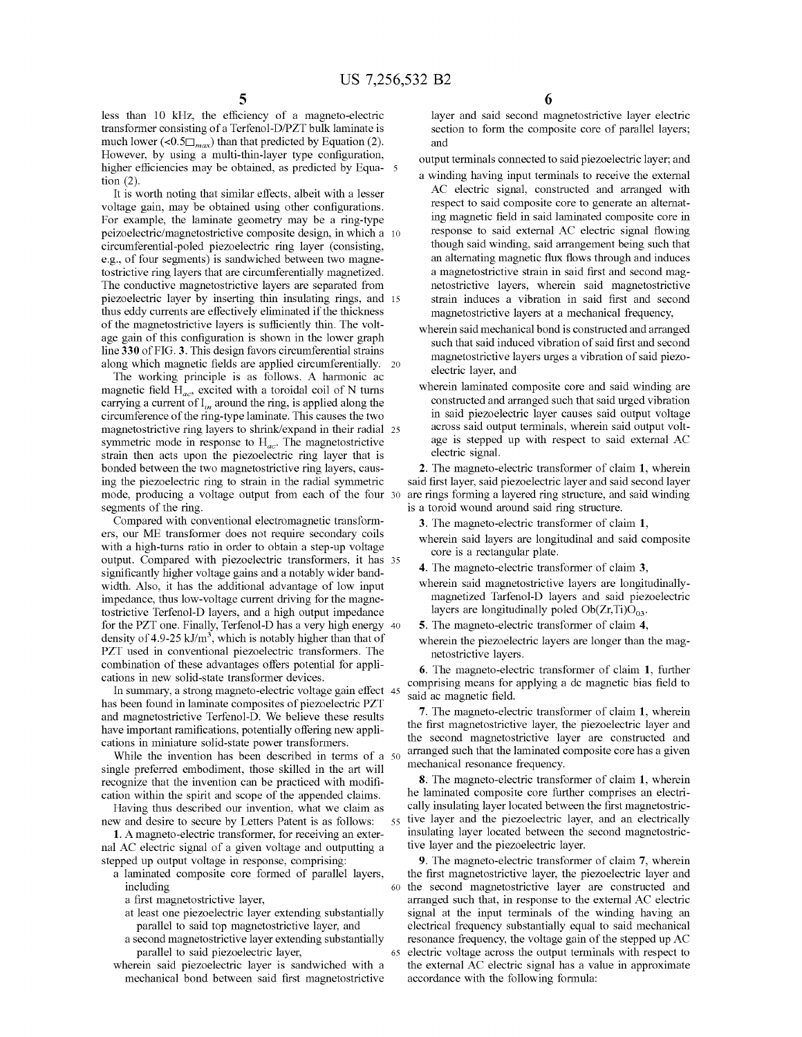less than 10 kHz, the efficiency of a magneto-electric transformer consisting of a Terfenol-D/PZT bulk laminate is much lower (<0.5 $\Box$ <sub>max</sub>) than that predicted by Equation (2). However, by using a multi-thin-layer type configuration, higher efficiencies may be obtained, as predicted by Equa- 5 tion (2).

It is worth noting that similar effects, albeit with a lesser voltage gain, may be obtained using other configurations. For example, the laminate geometry may be a ring-type peizoelectric/magnetostrictive composite design, in which a 10 circumferential-poled piezoelectric ring layer (consisting, e.g., of four segments) is sandwiched between two magnetostrictive ring layers that are circumferentially magnetized. The conductive magnetostrictive layers are separated from piezoelectric layer by inserting thin insulating rings, and 15 thus eddy currents are effectively eliminated if the thickness of the magnetostrictive layers is sufficiently thin. The voltage gain of this configuration is shown in the lower graph line 330 of FIG. 3. This design favors circumferential strains along which magnetic fields are applied circumferentially.

The working principle is as follows. A harmonic ac magnetic field  $H_{ac}$ , excited with a toroidal coil of N turns carrying a current of  $I_m$  around the ring, is applied along the circumference of the ring-type laminate. This causes the two magnetostrictive ring layers to shrink/expand in their radial 25 symmetric mode in response to  $H_{ac}$ . The magnetostrictive strain then acts upon the piezoelectric ring layer that is bonded between the two magnetostrictive ring layers, causing the piezoelectric ring to strain in the radial symmetric mode, producing a voltage output from each of the four 30 segments of the ring.

Compared with conventional electromagnetic transformers, our ME transformer does not require secondary coils with a high-turns ratio in order to obtain a step-up voltage output. Compared with piezoelectric transformers, it has 35 significantly higher voltage gains and a notably wider bandwidth. Also, it has the additional advantage of low input impedance, thus low-voltage current driving for the magnetostrictive Terfenol-D layers, and a high output impedance for the PZT one. Finally, Terfenol-D has a very high energy 40 density of 4.9-25 kJ/m<sup>3</sup>, which is notably higher than that of PZT used in conventional piezoelectric transformers. The combination of these advantages offers potential for applications in new solid-state transformer devices.

In summary, a strong magneto-electric voltage gain effect 45 has been found in laminate composites of piezoelectric PZT and magnetostrictive Terfenol-D. We believe these results have important ramifications, potentially offering new applications in miniature solid-state power transformers.

While the invention has been described in terms of a 50 single preferred embodiment, those skilled in the art will recognize that the invention can be practiced with modification within the spirit and scope of the appended claims.

Having thus described our invention, what we claim as new and desire to secure by Letters Patent is as follows:

1. A magneto-electric transformer, for receiving an external AC electric signal of <sup>a</sup> given voltage and outputting <sup>a</sup> stepped up output voltage in response, comprising:

- a laminated composite core formed of parallel layers, including
	- a first magnetostrictive layer,
	- at least one piezoelectric layer extending substantially parallel to said top magnetostrictive layer, and
	- a second magnetostrictive layer extending substantially parallel to said piezoelectric layer,

65

wherein said piezoelectric layer is sandwiched with a mechanical bond between said first magnetostrictive 6

layer and said second magnetostrictive layer electric section to form the composite core of parallel layers; and

output terminals connected to said piezoelectric layer; and

- a winding having input terminals to receive the external AC electric signal, constructed and arranged with respect to said composite core to generate an altemating magnetic field in said laminated composite core in response to said external AC electric signal flowing though said winding, said arrangement being such that an alternating magnetic flux flows through and induces a magnetostrictive strain in said first and second magnetostrictive layers, wherein said magnetostrictive strain induces a vibration in said first and second magnetostrictive layers at a mechanical frequency,
- wherein said mechanical bond is constructed and arranged such that said induced vibration of said first and second magnetostrictive layers urges a vibration of said piezoelectric layer, and
- wherein laminated composite core and said winding are constructed and arranged such that said urged vibration in said piezoelectric layer causes said output voltage across said output terminals, wherein said output voltage is stepped up with respect to said external AC electric signal.

2. The magneto-electric transformer of claim 1, wherein said first layer, said piezoelectric layer and said second layer are rings forming a layered ring structure, and said winding is a toroid wound around said ring structure.

3. The magneto-electric transformer of claim 1,

- wherein said layers are longitudinal and said composite core is a rectangular plate.
- 4. The magneto-electric transformer of claim 3,
- wherein said magnetostrictive layers are longitudinallymagnetized Tarfenol-D layers and said piezoelectric layers are longitudinally poled  $Ob(Zr, Ti)O<sub>03</sub>$ .
- 5. The magneto-electric transformer of claim 4,
- wherein the piezoelectric layers are longer than the magnetostrictive layers.

6. The magneto-electric transformer of claim 1, further comprising means for applying a dc magnetic bias field to said ac magnetic field.

7. The magneto-electric transformer of claim 1, wherein the first magnetostrictive layer, the piezoelectric layer and the second magnetostrictive layer are constructed and arranged such that the laminated composite core has a given mechanical resonance frequency.

55 tive layer and the piezoelectric layer, and an electrically 8. The magneto-electric transformer of claim 1, wherein he laminated composite core further comprises an electrically insulating layer located between the first magnetostricinsulating layer located between the second magnetostrictive layer and the piezoelectric layer.

60 the second magnetostrictive layer are constructed and 9. The magneto-electric transformer of claim 7, wherein the first magnetostrictive layer, the piezoelectric layer and arranged such that, in response to the external AC electric signal at the input terminals of the winding having an electrical frequency substantially equal to said mechanical resonance frequency, the voltage gain of the stepped up AC electric voltage across the output terminals with respect to the external AC electric signal has <sup>a</sup> value in approximate accordance with the following formula: